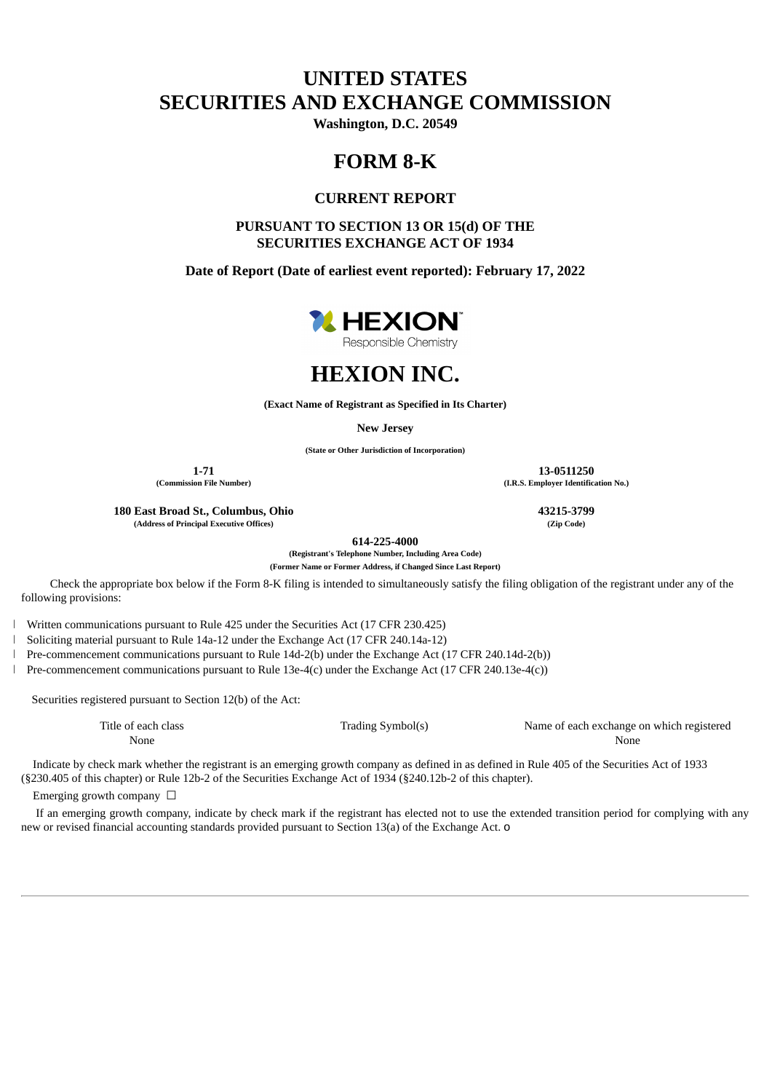# **UNITED STATES SECURITIES AND EXCHANGE COMMISSION**

**Washington, D.C. 20549**

## **FORM 8-K**

## **CURRENT REPORT**

**PURSUANT TO SECTION 13 OR 15(d) OF THE SECURITIES EXCHANGE ACT OF 1934**

**Date of Report (Date of earliest event reported): February 17, 2022**





**(Exact Name of Registrant as Specified in Its Charter)**

**New Jersey**

**(State or Other Jurisdiction of Incorporation)**

**180 East Broad St., Columbus, Ohio 43215-3799 (Address of Principal Executive Offices) (Zip Code)**

**614-225-4000**

**(Registrant's Telephone Number, Including Area Code)**

**(Former Name or Former Address, if Changed Since Last Report)**

Check the appropriate box below if the Form 8-K filing is intended to simultaneously satisfy the filing obligation of the registrant under any of the following provisions:

Written communications pursuant to Rule 425 under the Securities Act (17 CFR 230.425)

Soliciting material pursuant to Rule 14a-12 under the Exchange Act (17 CFR 240.14a-12)

Pre-commencement communications pursuant to Rule 14d-2(b) under the Exchange Act (17 CFR 240.14d-2(b))

Pre-commencement communications pursuant to Rule 13e-4(c) under the Exchange Act (17 CFR 240.13e-4(c))

Securities registered pursuant to Section 12(b) of the Act:

Title of each class Trading Symbol(s) Name of each exchange on which registered None None

Indicate by check mark whether the registrant is an emerging growth company as defined in as defined in Rule 405 of the Securities Act of 1933 (§230.405 of this chapter) or Rule 12b-2 of the Securities Exchange Act of 1934 (§240.12b-2 of this chapter).

Emerging growth company  $\Box$ 

If an emerging growth company, indicate by check mark if the registrant has elected not to use the extended transition period for complying with any new or revised financial accounting standards provided pursuant to Section 13(a) of the Exchange Act. o

**1-71 13-0511250 (Commission File Number) (I.R.S. Employer Identification No.)**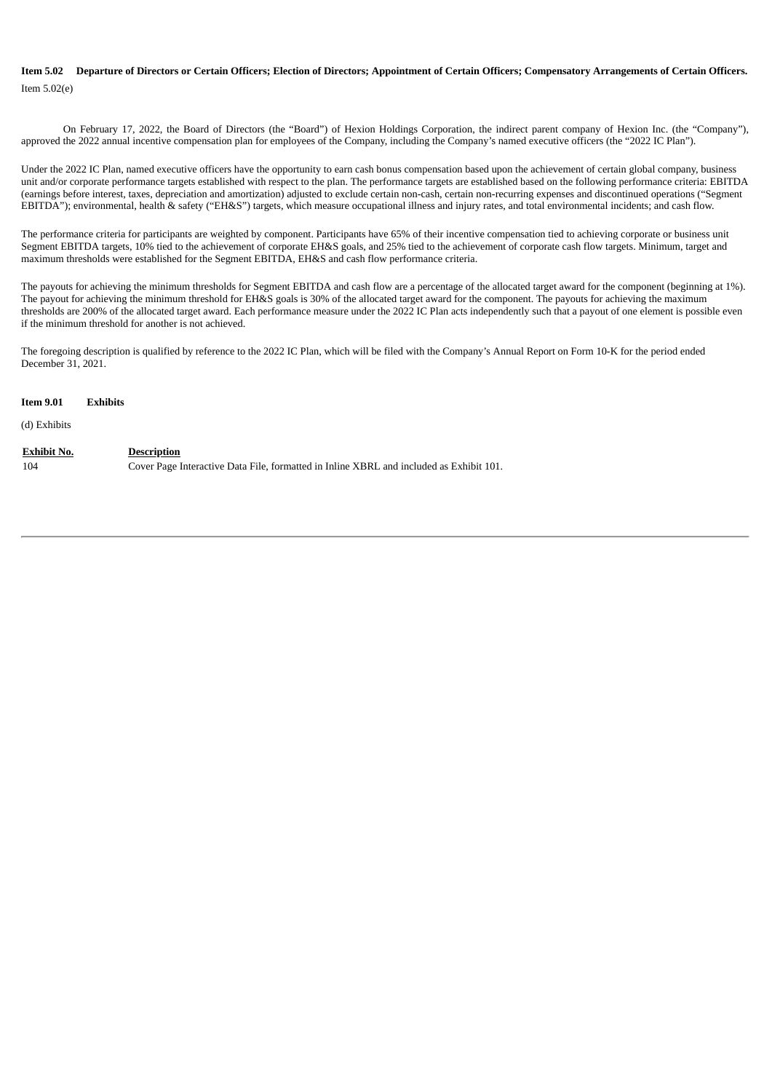### **Item 5.02 Departure of Directors or Certain Officers; Election of Directors; Appointment of Certain Officers; Compensatory Arrangements of Certain Officers.** Item 5.02(e)

On February 17, 2022, the Board of Directors (the "Board") of Hexion Holdings Corporation, the indirect parent company of Hexion Inc. (the "Company"), approved the 2022 annual incentive compensation plan for employees of the Company, including the Company's named executive officers (the "2022 IC Plan").

Under the 2022 IC Plan, named executive officers have the opportunity to earn cash bonus compensation based upon the achievement of certain global company, business unit and/or corporate performance targets established with respect to the plan. The performance targets are established based on the following performance criteria: EBITDA (earnings before interest, taxes, depreciation and amortization) adjusted to exclude certain non-cash, certain non-recurring expenses and discontinued operations ("Segment EBITDA"); environmental, health & safety ("EH&S") targets, which measure occupational illness and injury rates, and total environmental incidents; and cash flow.

The performance criteria for participants are weighted by component. Participants have 65% of their incentive compensation tied to achieving corporate or business unit Segment EBITDA targets, 10% tied to the achievement of corporate EH&S goals, and 25% tied to the achievement of corporate cash flow targets. Minimum, target and maximum thresholds were established for the Segment EBITDA, EH&S and cash flow performance criteria.

The payouts for achieving the minimum thresholds for Segment EBITDA and cash flow are a percentage of the allocated target award for the component (beginning at 1%). The payout for achieving the minimum threshold for EH&S goals is 30% of the allocated target award for the component. The payouts for achieving the maximum thresholds are 200% of the allocated target award. Each performance measure under the 2022 IC Plan acts independently such that a payout of one element is possible even if the minimum threshold for another is not achieved.

The foregoing description is qualified by reference to the 2022 IC Plan, which will be filed with the Company's Annual Report on Form 10-K for the period ended December 31, 2021.

| <b>Item 9.01</b>          | <b>Exhibits</b>                                                                                               |
|---------------------------|---------------------------------------------------------------------------------------------------------------|
| (d) Exhibits              |                                                                                                               |
| <b>Exhibit No.</b><br>104 | <b>Description</b><br>Cover Page Interactive Data File, formatted in Inline XBRL and included as Exhibit 101. |